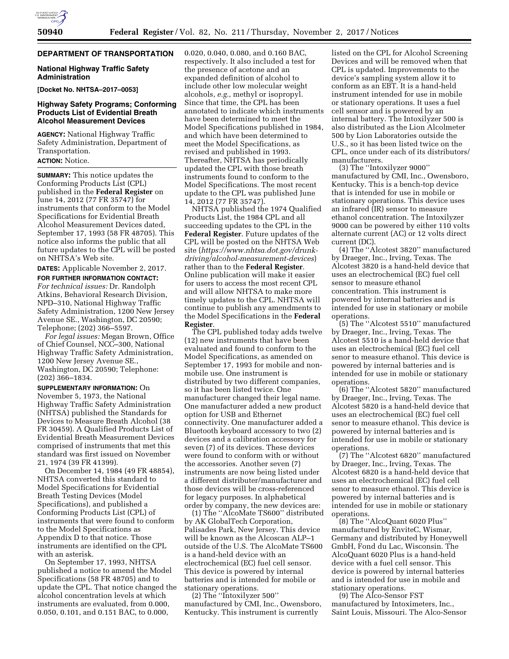# **DEPARTMENT OF TRANSPORTATION**

### **National Highway Traffic Safety Administration**

**[Docket No. NHTSA–2017–0053]** 

## **Highway Safety Programs; Conforming Products List of Evidential Breath Alcohol Measurement Devices**

**AGENCY:** National Highway Traffic Safety Administration, Department of Transportation.

#### **ACTION:** Notice.

**SUMMARY:** This notice updates the Conforming Products List (CPL) published in the **Federal Register** on June 14, 2012 (77 FR 35747) for instruments that conform to the Model Specifications for Evidential Breath Alcohol Measurement Devices dated, September 17, 1993 (58 FR 48705). This notice also informs the public that all future updates to the CPL will be posted on NHTSA's Web site.

**DATES:** Applicable November 2, 2017.

**FOR FURTHER INFORMATION CONTACT:** *For technical issues:* Dr. Randolph Atkins, Behavioral Research Division, NPD–310, National Highway Traffic Safety Administration, 1200 New Jersey Avenue SE., Washington, DC 20590; Telephone; (202) 366–5597.

*For legal issues:* Megan Brown, Office of Chief Counsel, NCC–300, National Highway Traffic Safety Administration, 1200 New Jersey Avenue SE., Washington, DC 20590; Telephone: (202) 366–1834.

**SUPPLEMENTARY INFORMATION:** On November 5, 1973, the National Highway Traffic Safety Administration (NHTSA) published the Standards for Devices to Measure Breath Alcohol (38 FR 30459). A Qualified Products List of Evidential Breath Measurement Devices comprised of instruments that met this standard was first issued on November 21, 1974 (39 FR 41399).

On December 14, 1984 (49 FR 48854), NHTSA converted this standard to Model Specifications for Evidential Breath Testing Devices (Model Specifications), and published a Conforming Products List (CPL) of instruments that were found to conform to the Model Specifications as Appendix D to that notice. Those instruments are identified on the CPL with an asterisk.

On September 17, 1993, NHTSA published a notice to amend the Model Specifications (58 FR 48705) and to update the CPL. That notice changed the alcohol concentration levels at which instruments are evaluated, from 0.000, 0.050, 0.101, and 0.151 BAC, to 0.000,

0.020, 0.040, 0.080, and 0.160 BAC, respectively. It also included a test for the presence of acetone and an expanded definition of alcohol to include other low molecular weight alcohols, *e.g.,* methyl or isopropyl. Since that time, the CPL has been annotated to indicate which instruments have been determined to meet the Model Specifications published in 1984, and which have been determined to meet the Model Specifications, as revised and published in 1993. Thereafter, NHTSA has periodically updated the CPL with those breath instruments found to conform to the Model Specifications. The most recent update to the CPL was published June 14, 2012 (77 FR 35747).

NHTSA published the 1974 Qualified Products List, the 1984 CPL and all succeeding updates to the CPL in the **Federal Register**. Future updates of the CPL will be posted on the NHTSA Web site (*[https://www.nhtsa.dot.gov/drunk](https://www.nhtsa.dot.gov/drunk-driving/alcohol-measurement-devices)[driving/alcohol-measurement-devices](https://www.nhtsa.dot.gov/drunk-driving/alcohol-measurement-devices)*) rather than to the **Federal Register**. Online publication will make it easier for users to access the most recent CPL and will allow NHTSA to make more timely updates to the CPL. NHTSA will continue to publish any amendments to the Model Specifications in the **Federal Register**.

The CPL published today adds twelve (12) new instruments that have been evaluated and found to conform to the Model Specifications, as amended on September 17, 1993 for mobile and nonmobile use. One instrument is distributed by two different companies, so it has been listed twice. One manufacturer changed their legal name. One manufacturer added a new product option for USB and Ethernet connectivity. One manufacturer added a Bluetooth keyboard accessory to two (2) devices and a calibration accessory for seven (7) of its devices. These devices were found to conform with or without the accessories. Another seven (7) instruments are now being listed under a different distributer/manufacturer and those devices will be cross-referenced for legacy purposes. In alphabetical order by company, the new devices are:

(1) The ''AlcoMate TS600'' distributed by AK GlobalTech Corporation, Palisades Park, New Jersey. This device will be known as the Alcoscan ALP–1 outside of the U.S. The AlcoMate TS600 is a hand-held device with an electrochemical (EC) fuel cell sensor. This device is powered by internal batteries and is intended for mobile or stationary operations.

(2) The ''Intoxilyzer 500'' manufactured by CMI, Inc., Owensboro, Kentucky. This instrument is currently

listed on the CPL for Alcohol Screening Devices and will be removed when that CPL is updated. Improvements to the device's sampling system allow it to conform as an EBT. It is a hand-held instrument intended for use in mobile or stationary operations. It uses a fuel cell sensor and is powered by an internal battery. The Intoxilyzer 500 is also distributed as the Lion Alcolmeter 500 by Lion Laboratories outside the U.S., so it has been listed twice on the CPL, once under each of its distributors/ manufacturers.

(3) The ''Intoxilyzer 9000'' manufactured by CMI, Inc., Owensboro, Kentucky. This is a bench-top device that is intended for use in mobile or stationary operations. This device uses an infrared (IR) sensor to measure ethanol concentration. The Intoxilyzer 9000 can be powered by either 110 volts alternate current (AC) or 12 volts direct current (DC).

(4) The ''Alcotest 3820'' manufactured by Draeger, Inc., Irving, Texas. The Alcotest 3820 is a hand-held device that uses an electrochemical (EC) fuel cell sensor to measure ethanol concentration. This instrument is powered by internal batteries and is intended for use in stationary or mobile operations.

(5) The ''Alcotest 5510'' manufactured by Draeger, Inc., Irving, Texas. The Alcotest 5510 is a hand-held device that uses an electrochemical (EC) fuel cell senor to measure ethanol. This device is powered by internal batteries and is intended for use in mobile or stationary operations.

(6) The ''Alcotest 5820'' manufactured by Draeger, Inc., Irving, Texas. The Alcotest 5820 is a hand-held device that uses an electrochemical (EC) fuel cell senor to measure ethanol. This device is powered by internal batteries and is intended for use in mobile or stationary operations.

(7) The ''Alcotest 6820'' manufactured by Draeger, Inc., Irving, Texas. The Alcotest 6820 is a hand-held device that uses an electrochemical (EC) fuel cell senor to measure ethanol. This device is powered by internal batteries and is intended for use in mobile or stationary operations.

(8) The ''AlcoQuant 6020 Plus'' manufactured by EnviteC, Wismar, Germany and distributed by Honeywell GmbH, Fond du Lac, Wisconsin. The AlcoQuant 6020 Plus is a hand-held device with a fuel cell sensor. This device is powered by internal batteries and is intended for use in mobile and stationary operations.

(9) The Alco-Sensor FST manufactured by Intoximeters, Inc., Saint Louis, Missouri. The Alco-Sensor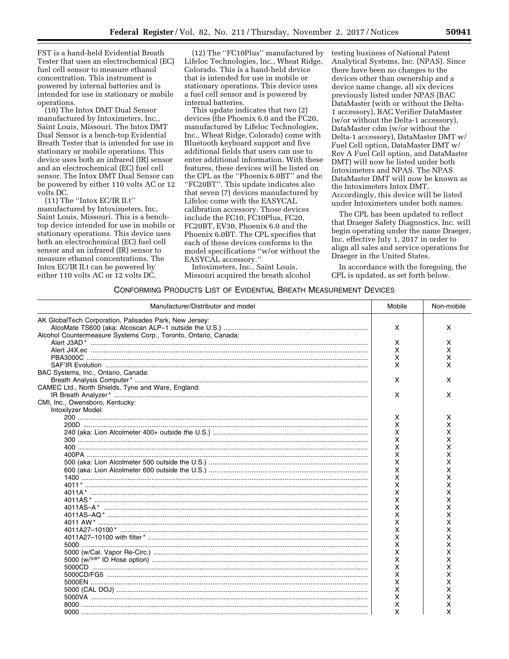FST is a hand-held Evidential Breath Tester that uses an electrochemical (EC) fuel cell sensor to measure ethanol concentration. This instrument is powered by internal batteries and is intended for use in stationary or mobile operations.

(10) The Intox DMT Dual Sensor manufactured by Intoximeters, Inc., Saint Louis, Missouri. The Intox DMT Dual Sensor is a bench-top Evidential Breath Tester that is intended for use in stationary or mobile operations. This device uses both an infrared (IR) sensor and an electrochemical (EC) fuel cell sensor. The Intox DMT Dual Sensor can be powered by either 110 volts AC or 12 volts DC.

(11) The ''Intox EC/IR II.t'' manufactured by Intoximeters, Inc, Saint Louis, Missouri. This is a benchtop device intended for use in mobile or stationary operations. This device uses both an electrochemical (EC) fuel cell sensor and an infrared (IR) sensor to measure ethanol concentrations. The Intox EC/IR II.t can be powered by either 110 volts AC or 12 volts DC.

(12) The ''FC10Plus'' manufactured by Lifeloc Technologies, Inc., Wheat Ridge, Colorado. This is a hand-held device that is intended for use in mobile or stationary operations. This device uses a fuel cell sensor and is powered by internal batteries.

This update indicates that two (2) devices (the Phoenix 6.0 and the FC20, manufactured by Lifeloc Technologies, Inc., Wheat Ridge, Colorado) come with Bluetooth keyboard support and five additional fields that users can use to enter additional information. With these features, these devices will be listed on the CPL as the ''Phoenix 6.0BT'' and the ''FC20BT''. This update indicates also that seven (7) devices manufactured by Lifeloc come with the EASYCAL calibration accessory. Those devices include the FC10, FC10Plus, FC20, FC20BT, EV30, Phoenix 6.0 and the Phoenix 6.0BT. The CPL specifies that each of these devices conforms to the model specifications ''w/or without the EASYCAL accessory.''

Intoximeters, Inc., Saint Louis, Missouri acquired the breath alcohol testing business of National Patent Analytical Systems, Inc. (NPAS). Since there have been no changes to the devices other than ownership and a device name change, all six devices previously listed under NPAS (BAC DataMaster (with or without the Delta-1 accessory), BAC Verifier DataMaster (w/or without the Delta-1 accessory), DataMaster cdm (w/or without the Delta-1 accessory), DataMaster DMT w/ Fuel Cell option, DataMaster DMT w/ Rev A Fuel Cell option, and DataMaster DMT) will now be listed under both Intoximeters and NPAS. The NPAS DataMaster DMT will now be known as the Intoximeters Intox DMT. Accordingly, this device will be listed under Intoximeters under both names.

The CPL has been updated to reflect that Draeger Safety Diagnostics, Inc. will begin operating under the name Draeger, Inc. effective July 1, 2017 in order to align all sales and service operations for Draeger in the United States.

In accordance with the foregoing, the CPL is updated, as set forth below.

# CONFORMING PRODUCTS LIST OF EVIDENTIAL BREATH MEASUREMENT DEVICES

| Manufacturer/Distributor and model                              | Mobile | Non-mobile |
|-----------------------------------------------------------------|--------|------------|
| AK GlobalTech Corporation, Palisades Park, New Jersey:          |        |            |
|                                                                 | X      | X          |
| Alcohol Countermeasure Systems Corp., Toronto, Ontario, Canada: |        |            |
|                                                                 | X      | X          |
|                                                                 | X      | X          |
|                                                                 | X      | X          |
|                                                                 | X      | x          |
| BAC Systems, Inc., Ontario, Canada:                             |        |            |
|                                                                 | X      | X          |
| CAMEC Ltd., North Shields, Tyne and Ware, England:              |        |            |
|                                                                 | X      | X          |
| CMI, Inc., Owensboro, Kentucky:                                 |        |            |
| Intoxilyzer Model:                                              |        |            |
|                                                                 | X      | X          |
|                                                                 | X      | x          |
|                                                                 | X      | x          |
|                                                                 | X      | x          |
|                                                                 | x      | x          |
|                                                                 | x      | x          |
|                                                                 | x      | x          |
|                                                                 | Χ      | x          |
|                                                                 | x      | x          |
|                                                                 | x      | x          |
|                                                                 | x      | x          |
|                                                                 | x      | x          |
|                                                                 | x      | x          |
|                                                                 | x      | x          |
|                                                                 | x      | x          |
|                                                                 | x      | х          |
|                                                                 | x      | x          |
|                                                                 | x      | x          |
|                                                                 | x      | x          |
|                                                                 | x      | х          |
|                                                                 | x      | x          |
|                                                                 | x      | x          |
|                                                                 |        |            |
|                                                                 | x      | x          |
|                                                                 | x      | х          |
|                                                                 | x      | x          |
|                                                                 | x      | Χ          |
|                                                                 | x      | x          |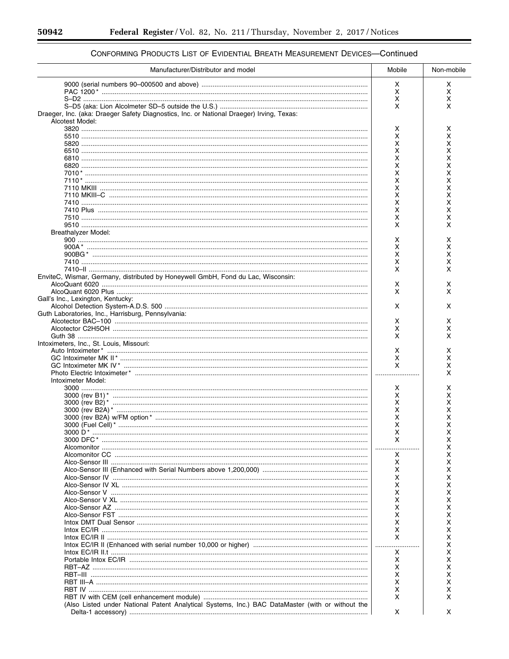$\equiv$ 

| Manufacturer/Distributor and model                                                                          | Mobile | Non-mobile |
|-------------------------------------------------------------------------------------------------------------|--------|------------|
|                                                                                                             | X      | x          |
|                                                                                                             | X      | x          |
|                                                                                                             | х      | x          |
|                                                                                                             | X      | x          |
| Draeger, Inc. (aka: Draeger Safety Diagnostics, Inc. or National Draeger) Irving, Texas:<br>Alcotest Model: |        |            |
|                                                                                                             | х      | х          |
|                                                                                                             | X      | x          |
|                                                                                                             | Χ      | x          |
|                                                                                                             | X      | x          |
|                                                                                                             | Χ      | x          |
|                                                                                                             | X      | x          |
|                                                                                                             | Χ      | x          |
|                                                                                                             | X<br>X | X<br>x     |
|                                                                                                             | X      | Χ          |
|                                                                                                             | X      | x          |
|                                                                                                             | X      | x          |
|                                                                                                             | x      | x          |
|                                                                                                             | X      | X          |
| Breathalyzer Model:                                                                                         |        |            |
|                                                                                                             | х      | х          |
|                                                                                                             | х      | x          |
|                                                                                                             | x      | x          |
|                                                                                                             | х      | х          |
|                                                                                                             | X      | x          |
| EnviteC, Wismar, Germany, distributed by Honeywell GmbH, Fond du Lac, Wisconsin:                            |        |            |
|                                                                                                             | х<br>X | х<br>X     |
| Gall's Inc., Lexington, Kentucky:                                                                           |        |            |
|                                                                                                             | X      | x          |
| Guth Laboratories, Inc., Harrisburg, Pennsylvania:                                                          |        |            |
|                                                                                                             | X      | x          |
|                                                                                                             | х      | x          |
|                                                                                                             | X      | X          |
| Intoximeters, Inc., St. Louis, Missouri:                                                                    |        |            |
|                                                                                                             | x      | х          |
|                                                                                                             | x      | х          |
|                                                                                                             | X      | x          |
| Intoximeter Model:                                                                                          |        | x          |
|                                                                                                             | х      | x          |
|                                                                                                             | x      | х          |
|                                                                                                             | x      | х          |
|                                                                                                             | X      | Χ          |
|                                                                                                             | Χ      | x          |
|                                                                                                             | X      | х          |
| 3000 D $^*$                                                                                                 |        |            |
|                                                                                                             | x      | х          |
|                                                                                                             | .<br>. | х          |
|                                                                                                             | x      | x          |
|                                                                                                             | х      | х          |
|                                                                                                             | х<br>x | x          |
|                                                                                                             | X      | Χ<br>x     |
|                                                                                                             | x      | Χ          |
|                                                                                                             | X      | x          |
|                                                                                                             | Χ      | Χ          |
|                                                                                                             | X      | x          |
|                                                                                                             | x      | Χ          |
|                                                                                                             | X      | x          |
|                                                                                                             | X      | х          |
|                                                                                                             | .<br>. | Χ          |
|                                                                                                             | х      | Χ          |
|                                                                                                             | х      | x          |
|                                                                                                             | х      | x          |
|                                                                                                             | x      | Χ          |
|                                                                                                             | x      | х          |
|                                                                                                             | х      | х          |
|                                                                                                             | x      | x          |
| (Also Listed under National Patent Analytical Systems, Inc.) BAC DataMaster (with or without the            | X      | X          |
|                                                                                                             |        |            |

# CONFORMING PRODUCTS LIST OF EVIDENTIAL BREATH MEASUREMENT DEVICES-Continued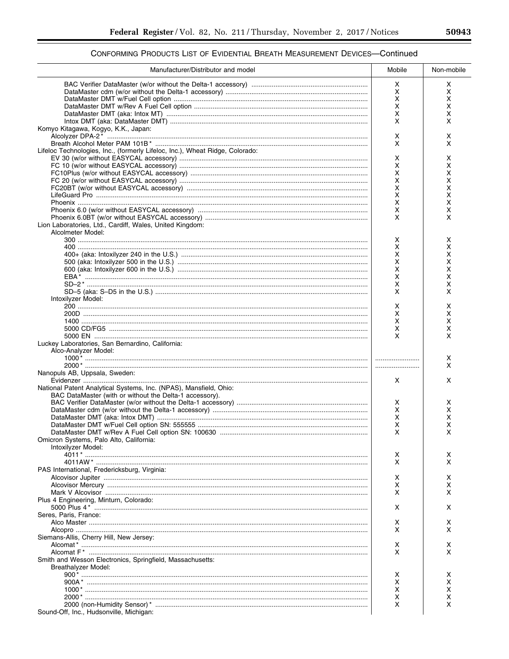# CONFORMING PRODUCTS LIST OF EVIDENTIAL BREATH MEASUREMENT DEVICES-Continued

| х<br>х<br>х<br>х<br>x<br>х<br>x<br>х<br>x<br>х<br>X<br>X<br>Komyo Kitagawa, Kogyo, K.K., Japan:<br>х<br>х<br>X<br>x<br>Lifeloc Technologies, Inc., (formerly Lifeloc, Inc.), Wheat Ridge, Colorado:<br>х<br>х<br>X<br>х<br>x<br>X<br>x<br>х<br>x<br>X<br>x<br>X<br>x<br>х<br>х<br>х<br>X<br>X<br>Lion Laboratories, Ltd., Cardiff, Wales, United Kingdom:<br>Alcolmeter Model:<br>х<br>х<br>x<br>х<br>x<br>х<br>X<br>х<br>x<br>х<br>X<br>х<br>X<br>х<br>X<br>X<br>Intoxilyzer Model:<br>X<br>х<br>х<br>х<br>х<br>х<br>х<br>х<br>X<br>X<br>Luckey Laboratories, San Bernardino, California:<br>Alco-Analyzer Model:<br>х<br>X<br>Nanopuls AB, Uppsala, Sweden:<br>X<br>x<br>National Patent Analytical Systems, Inc. (NPAS), Mansfield, Ohio:<br>BAC DataMaster (with or without the Delta-1 accessory).<br>х<br>х<br>X<br>х<br>x<br>X<br>X<br>х<br>X<br>X<br>Omicron Systems, Palo Alto, California:<br>Intoxilyzer Model:<br>х<br>х<br>X<br>x<br>PAS International, Fredericksburg, Virginia:<br>х<br>х<br>X<br>х<br>X<br>x<br>Plus 4 Engineering, Minturn, Colorado:<br>x<br>X<br>Seres, Paris, France:<br>х<br>х<br>X<br>x<br>Siemans-Allis, Cherry Hill, New Jersey:<br>х<br>x<br>X<br>x<br>Smith and Wesson Electronics, Springfield, Massachusetts:<br><b>Breathalyzer Model:</b><br>х<br>x<br>х<br>х<br>x<br>х<br>х<br>х<br>х<br>х | Manufacturer/Distributor and model | Mobile | Non-mobile |
|-------------------------------------------------------------------------------------------------------------------------------------------------------------------------------------------------------------------------------------------------------------------------------------------------------------------------------------------------------------------------------------------------------------------------------------------------------------------------------------------------------------------------------------------------------------------------------------------------------------------------------------------------------------------------------------------------------------------------------------------------------------------------------------------------------------------------------------------------------------------------------------------------------------------------------------------------------------------------------------------------------------------------------------------------------------------------------------------------------------------------------------------------------------------------------------------------------------------------------------------------------------------------------------------------------------------------------------------|------------------------------------|--------|------------|
|                                                                                                                                                                                                                                                                                                                                                                                                                                                                                                                                                                                                                                                                                                                                                                                                                                                                                                                                                                                                                                                                                                                                                                                                                                                                                                                                           |                                    |        |            |
|                                                                                                                                                                                                                                                                                                                                                                                                                                                                                                                                                                                                                                                                                                                                                                                                                                                                                                                                                                                                                                                                                                                                                                                                                                                                                                                                           |                                    |        |            |
|                                                                                                                                                                                                                                                                                                                                                                                                                                                                                                                                                                                                                                                                                                                                                                                                                                                                                                                                                                                                                                                                                                                                                                                                                                                                                                                                           |                                    |        |            |
|                                                                                                                                                                                                                                                                                                                                                                                                                                                                                                                                                                                                                                                                                                                                                                                                                                                                                                                                                                                                                                                                                                                                                                                                                                                                                                                                           |                                    |        |            |
|                                                                                                                                                                                                                                                                                                                                                                                                                                                                                                                                                                                                                                                                                                                                                                                                                                                                                                                                                                                                                                                                                                                                                                                                                                                                                                                                           |                                    |        |            |
|                                                                                                                                                                                                                                                                                                                                                                                                                                                                                                                                                                                                                                                                                                                                                                                                                                                                                                                                                                                                                                                                                                                                                                                                                                                                                                                                           |                                    |        |            |
|                                                                                                                                                                                                                                                                                                                                                                                                                                                                                                                                                                                                                                                                                                                                                                                                                                                                                                                                                                                                                                                                                                                                                                                                                                                                                                                                           |                                    |        |            |
|                                                                                                                                                                                                                                                                                                                                                                                                                                                                                                                                                                                                                                                                                                                                                                                                                                                                                                                                                                                                                                                                                                                                                                                                                                                                                                                                           |                                    |        |            |
|                                                                                                                                                                                                                                                                                                                                                                                                                                                                                                                                                                                                                                                                                                                                                                                                                                                                                                                                                                                                                                                                                                                                                                                                                                                                                                                                           |                                    |        |            |
|                                                                                                                                                                                                                                                                                                                                                                                                                                                                                                                                                                                                                                                                                                                                                                                                                                                                                                                                                                                                                                                                                                                                                                                                                                                                                                                                           |                                    |        |            |
|                                                                                                                                                                                                                                                                                                                                                                                                                                                                                                                                                                                                                                                                                                                                                                                                                                                                                                                                                                                                                                                                                                                                                                                                                                                                                                                                           |                                    |        |            |
|                                                                                                                                                                                                                                                                                                                                                                                                                                                                                                                                                                                                                                                                                                                                                                                                                                                                                                                                                                                                                                                                                                                                                                                                                                                                                                                                           |                                    |        |            |
|                                                                                                                                                                                                                                                                                                                                                                                                                                                                                                                                                                                                                                                                                                                                                                                                                                                                                                                                                                                                                                                                                                                                                                                                                                                                                                                                           |                                    |        |            |
|                                                                                                                                                                                                                                                                                                                                                                                                                                                                                                                                                                                                                                                                                                                                                                                                                                                                                                                                                                                                                                                                                                                                                                                                                                                                                                                                           |                                    |        |            |
|                                                                                                                                                                                                                                                                                                                                                                                                                                                                                                                                                                                                                                                                                                                                                                                                                                                                                                                                                                                                                                                                                                                                                                                                                                                                                                                                           |                                    |        |            |
|                                                                                                                                                                                                                                                                                                                                                                                                                                                                                                                                                                                                                                                                                                                                                                                                                                                                                                                                                                                                                                                                                                                                                                                                                                                                                                                                           |                                    |        |            |
|                                                                                                                                                                                                                                                                                                                                                                                                                                                                                                                                                                                                                                                                                                                                                                                                                                                                                                                                                                                                                                                                                                                                                                                                                                                                                                                                           |                                    |        |            |
|                                                                                                                                                                                                                                                                                                                                                                                                                                                                                                                                                                                                                                                                                                                                                                                                                                                                                                                                                                                                                                                                                                                                                                                                                                                                                                                                           |                                    |        |            |
|                                                                                                                                                                                                                                                                                                                                                                                                                                                                                                                                                                                                                                                                                                                                                                                                                                                                                                                                                                                                                                                                                                                                                                                                                                                                                                                                           |                                    |        |            |
|                                                                                                                                                                                                                                                                                                                                                                                                                                                                                                                                                                                                                                                                                                                                                                                                                                                                                                                                                                                                                                                                                                                                                                                                                                                                                                                                           |                                    |        |            |
|                                                                                                                                                                                                                                                                                                                                                                                                                                                                                                                                                                                                                                                                                                                                                                                                                                                                                                                                                                                                                                                                                                                                                                                                                                                                                                                                           |                                    |        |            |
|                                                                                                                                                                                                                                                                                                                                                                                                                                                                                                                                                                                                                                                                                                                                                                                                                                                                                                                                                                                                                                                                                                                                                                                                                                                                                                                                           |                                    |        |            |
|                                                                                                                                                                                                                                                                                                                                                                                                                                                                                                                                                                                                                                                                                                                                                                                                                                                                                                                                                                                                                                                                                                                                                                                                                                                                                                                                           |                                    |        |            |
|                                                                                                                                                                                                                                                                                                                                                                                                                                                                                                                                                                                                                                                                                                                                                                                                                                                                                                                                                                                                                                                                                                                                                                                                                                                                                                                                           |                                    |        |            |
|                                                                                                                                                                                                                                                                                                                                                                                                                                                                                                                                                                                                                                                                                                                                                                                                                                                                                                                                                                                                                                                                                                                                                                                                                                                                                                                                           |                                    |        |            |
|                                                                                                                                                                                                                                                                                                                                                                                                                                                                                                                                                                                                                                                                                                                                                                                                                                                                                                                                                                                                                                                                                                                                                                                                                                                                                                                                           |                                    |        |            |
|                                                                                                                                                                                                                                                                                                                                                                                                                                                                                                                                                                                                                                                                                                                                                                                                                                                                                                                                                                                                                                                                                                                                                                                                                                                                                                                                           |                                    |        |            |
|                                                                                                                                                                                                                                                                                                                                                                                                                                                                                                                                                                                                                                                                                                                                                                                                                                                                                                                                                                                                                                                                                                                                                                                                                                                                                                                                           |                                    |        |            |
|                                                                                                                                                                                                                                                                                                                                                                                                                                                                                                                                                                                                                                                                                                                                                                                                                                                                                                                                                                                                                                                                                                                                                                                                                                                                                                                                           |                                    |        |            |
|                                                                                                                                                                                                                                                                                                                                                                                                                                                                                                                                                                                                                                                                                                                                                                                                                                                                                                                                                                                                                                                                                                                                                                                                                                                                                                                                           |                                    |        |            |
|                                                                                                                                                                                                                                                                                                                                                                                                                                                                                                                                                                                                                                                                                                                                                                                                                                                                                                                                                                                                                                                                                                                                                                                                                                                                                                                                           |                                    |        |            |
|                                                                                                                                                                                                                                                                                                                                                                                                                                                                                                                                                                                                                                                                                                                                                                                                                                                                                                                                                                                                                                                                                                                                                                                                                                                                                                                                           |                                    |        |            |
|                                                                                                                                                                                                                                                                                                                                                                                                                                                                                                                                                                                                                                                                                                                                                                                                                                                                                                                                                                                                                                                                                                                                                                                                                                                                                                                                           |                                    |        |            |
|                                                                                                                                                                                                                                                                                                                                                                                                                                                                                                                                                                                                                                                                                                                                                                                                                                                                                                                                                                                                                                                                                                                                                                                                                                                                                                                                           |                                    |        |            |
|                                                                                                                                                                                                                                                                                                                                                                                                                                                                                                                                                                                                                                                                                                                                                                                                                                                                                                                                                                                                                                                                                                                                                                                                                                                                                                                                           |                                    |        |            |
|                                                                                                                                                                                                                                                                                                                                                                                                                                                                                                                                                                                                                                                                                                                                                                                                                                                                                                                                                                                                                                                                                                                                                                                                                                                                                                                                           |                                    |        |            |
|                                                                                                                                                                                                                                                                                                                                                                                                                                                                                                                                                                                                                                                                                                                                                                                                                                                                                                                                                                                                                                                                                                                                                                                                                                                                                                                                           |                                    |        |            |
|                                                                                                                                                                                                                                                                                                                                                                                                                                                                                                                                                                                                                                                                                                                                                                                                                                                                                                                                                                                                                                                                                                                                                                                                                                                                                                                                           |                                    |        |            |
|                                                                                                                                                                                                                                                                                                                                                                                                                                                                                                                                                                                                                                                                                                                                                                                                                                                                                                                                                                                                                                                                                                                                                                                                                                                                                                                                           |                                    |        |            |
|                                                                                                                                                                                                                                                                                                                                                                                                                                                                                                                                                                                                                                                                                                                                                                                                                                                                                                                                                                                                                                                                                                                                                                                                                                                                                                                                           |                                    |        |            |
|                                                                                                                                                                                                                                                                                                                                                                                                                                                                                                                                                                                                                                                                                                                                                                                                                                                                                                                                                                                                                                                                                                                                                                                                                                                                                                                                           |                                    |        |            |
|                                                                                                                                                                                                                                                                                                                                                                                                                                                                                                                                                                                                                                                                                                                                                                                                                                                                                                                                                                                                                                                                                                                                                                                                                                                                                                                                           |                                    |        |            |
|                                                                                                                                                                                                                                                                                                                                                                                                                                                                                                                                                                                                                                                                                                                                                                                                                                                                                                                                                                                                                                                                                                                                                                                                                                                                                                                                           |                                    |        |            |
|                                                                                                                                                                                                                                                                                                                                                                                                                                                                                                                                                                                                                                                                                                                                                                                                                                                                                                                                                                                                                                                                                                                                                                                                                                                                                                                                           |                                    |        |            |
|                                                                                                                                                                                                                                                                                                                                                                                                                                                                                                                                                                                                                                                                                                                                                                                                                                                                                                                                                                                                                                                                                                                                                                                                                                                                                                                                           |                                    |        |            |
|                                                                                                                                                                                                                                                                                                                                                                                                                                                                                                                                                                                                                                                                                                                                                                                                                                                                                                                                                                                                                                                                                                                                                                                                                                                                                                                                           |                                    |        |            |
|                                                                                                                                                                                                                                                                                                                                                                                                                                                                                                                                                                                                                                                                                                                                                                                                                                                                                                                                                                                                                                                                                                                                                                                                                                                                                                                                           |                                    |        |            |
|                                                                                                                                                                                                                                                                                                                                                                                                                                                                                                                                                                                                                                                                                                                                                                                                                                                                                                                                                                                                                                                                                                                                                                                                                                                                                                                                           |                                    |        |            |
|                                                                                                                                                                                                                                                                                                                                                                                                                                                                                                                                                                                                                                                                                                                                                                                                                                                                                                                                                                                                                                                                                                                                                                                                                                                                                                                                           |                                    |        |            |
|                                                                                                                                                                                                                                                                                                                                                                                                                                                                                                                                                                                                                                                                                                                                                                                                                                                                                                                                                                                                                                                                                                                                                                                                                                                                                                                                           |                                    |        |            |
|                                                                                                                                                                                                                                                                                                                                                                                                                                                                                                                                                                                                                                                                                                                                                                                                                                                                                                                                                                                                                                                                                                                                                                                                                                                                                                                                           |                                    |        |            |
|                                                                                                                                                                                                                                                                                                                                                                                                                                                                                                                                                                                                                                                                                                                                                                                                                                                                                                                                                                                                                                                                                                                                                                                                                                                                                                                                           |                                    |        |            |
|                                                                                                                                                                                                                                                                                                                                                                                                                                                                                                                                                                                                                                                                                                                                                                                                                                                                                                                                                                                                                                                                                                                                                                                                                                                                                                                                           |                                    |        |            |
|                                                                                                                                                                                                                                                                                                                                                                                                                                                                                                                                                                                                                                                                                                                                                                                                                                                                                                                                                                                                                                                                                                                                                                                                                                                                                                                                           |                                    |        |            |
|                                                                                                                                                                                                                                                                                                                                                                                                                                                                                                                                                                                                                                                                                                                                                                                                                                                                                                                                                                                                                                                                                                                                                                                                                                                                                                                                           |                                    |        |            |
|                                                                                                                                                                                                                                                                                                                                                                                                                                                                                                                                                                                                                                                                                                                                                                                                                                                                                                                                                                                                                                                                                                                                                                                                                                                                                                                                           |                                    |        |            |
|                                                                                                                                                                                                                                                                                                                                                                                                                                                                                                                                                                                                                                                                                                                                                                                                                                                                                                                                                                                                                                                                                                                                                                                                                                                                                                                                           |                                    |        |            |
|                                                                                                                                                                                                                                                                                                                                                                                                                                                                                                                                                                                                                                                                                                                                                                                                                                                                                                                                                                                                                                                                                                                                                                                                                                                                                                                                           |                                    |        |            |
|                                                                                                                                                                                                                                                                                                                                                                                                                                                                                                                                                                                                                                                                                                                                                                                                                                                                                                                                                                                                                                                                                                                                                                                                                                                                                                                                           |                                    |        |            |
|                                                                                                                                                                                                                                                                                                                                                                                                                                                                                                                                                                                                                                                                                                                                                                                                                                                                                                                                                                                                                                                                                                                                                                                                                                                                                                                                           |                                    |        |            |
|                                                                                                                                                                                                                                                                                                                                                                                                                                                                                                                                                                                                                                                                                                                                                                                                                                                                                                                                                                                                                                                                                                                                                                                                                                                                                                                                           |                                    |        |            |
|                                                                                                                                                                                                                                                                                                                                                                                                                                                                                                                                                                                                                                                                                                                                                                                                                                                                                                                                                                                                                                                                                                                                                                                                                                                                                                                                           |                                    |        |            |
|                                                                                                                                                                                                                                                                                                                                                                                                                                                                                                                                                                                                                                                                                                                                                                                                                                                                                                                                                                                                                                                                                                                                                                                                                                                                                                                                           |                                    |        |            |
| Sound-Off, Inc., Hudsonville, Michigan:                                                                                                                                                                                                                                                                                                                                                                                                                                                                                                                                                                                                                                                                                                                                                                                                                                                                                                                                                                                                                                                                                                                                                                                                                                                                                                   |                                    |        |            |